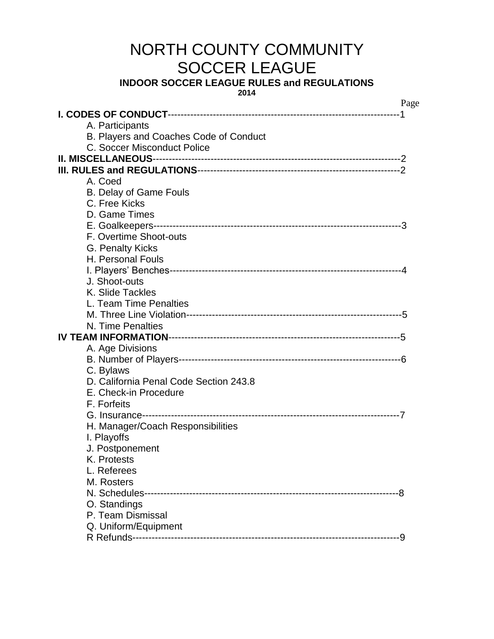# NORTH COUNTY COMMUNITY SOCCER LEAGUE

**INDOOR SOCCER LEAGUE RULES and REGULATIONS**

**2014**

|                                        | Page |
|----------------------------------------|------|
|                                        |      |
| A. Participants                        |      |
| B. Players and Coaches Code of Conduct |      |
| C. Soccer Misconduct Police            |      |
|                                        |      |
|                                        |      |
| A. Coed                                |      |
| <b>B. Delay of Game Fouls</b>          |      |
| C. Free Kicks                          |      |
| D. Game Times                          |      |
|                                        |      |
| F. Overtime Shoot-outs                 |      |
| G. Penalty Kicks                       |      |
| H. Personal Fouls                      |      |
|                                        |      |
| J. Shoot-outs                          |      |
| K. Slide Tackles                       |      |
| L. Team Time Penalties                 |      |
|                                        |      |
| N. Time Penalties                      |      |
|                                        |      |
| A. Age Divisions                       |      |
|                                        |      |
| C. Bylaws                              |      |
| D. California Penal Code Section 243.8 |      |
| E. Check-in Procedure                  |      |
| F. Forfeits                            |      |
|                                        |      |
| H. Manager/Coach Responsibilities      |      |
| I. Playoffs                            |      |
| J. Postponement                        |      |
| K. Protests                            |      |
| L. Referees                            |      |
| M. Rosters                             |      |
|                                        |      |
| O. Standings                           |      |
| P. Team Dismissal                      |      |
| Q. Uniform/Equipment                   |      |
|                                        |      |
|                                        |      |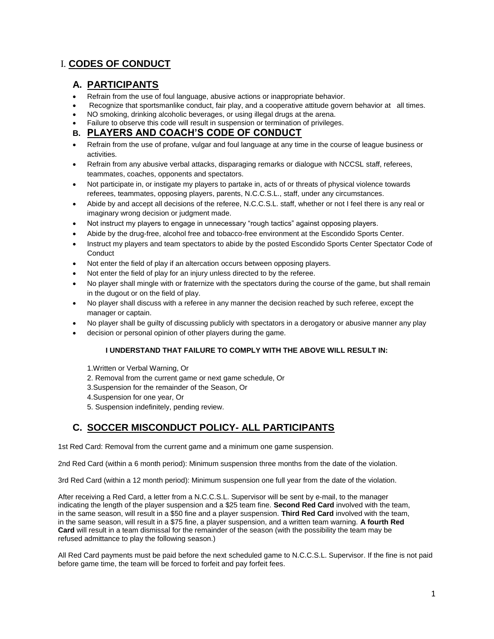# I. **CODES OF CONDUCT**

# **A. PARTICIPANTS**

- Refrain from the use of foul language, abusive actions or inappropriate behavior.
- Recognize that sportsmanlike conduct, fair play, and a cooperative attitude govern behavior at all times.
- NO smoking, drinking alcoholic beverages, or using illegal drugs at the arena.
- Failure to observe this code will result in suspension or termination of privileges.

#### **B. PLAYERS AND COACH'S CODE OF CONDUCT**

- Refrain from the use of profane, vulgar and foul language at any time in the course of league business or activities.
- Refrain from any abusive verbal attacks, disparaging remarks or dialogue with NCCSL staff, referees, teammates, coaches, opponents and spectators.
- Not participate in, or instigate my players to partake in, acts of or threats of physical violence towards referees, teammates, opposing players, parents, N.C.C.S.L., staff, under any circumstances.
- Abide by and accept all decisions of the referee, N.C.C.S.L. staff, whether or not I feel there is any real or imaginary wrong decision or judgment made.
- Not instruct my players to engage in unnecessary "rough tactics" against opposing players.
- Abide by the drug-free, alcohol free and tobacco-free environment at the Escondido Sports Center.
- Instruct my players and team spectators to abide by the posted Escondido Sports Center Spectator Code of **Conduct**
- Not enter the field of play if an altercation occurs between opposing players.
- Not enter the field of play for an injury unless directed to by the referee.
- No player shall mingle with or fraternize with the spectators during the course of the game, but shall remain in the dugout or on the field of play.
- No player shall discuss with a referee in any manner the decision reached by such referee, except the manager or captain.
- No player shall be guilty of discussing publicly with spectators in a derogatory or abusive manner any play
- decision or personal opinion of other players during the game.

#### **I UNDERSTAND THAT FAILURE TO COMPLY WITH THE ABOVE WILL RESULT IN:**

- 1.Written or Verbal Warning, Or
- 2. Removal from the current game or next game schedule, Or
- 3.Suspension for the remainder of the Season, Or
- 4.Suspension for one year, Or
- 5. Suspension indefinitely, pending review.

# **C. SOCCER MISCONDUCT POLICY- ALL PARTICIPANTS**

1st Red Card: Removal from the current game and a minimum one game suspension.

2nd Red Card (within a 6 month period): Minimum suspension three months from the date of the violation.

3rd Red Card (within a 12 month period): Minimum suspension one full year from the date of the violation.

After receiving a Red Card, a letter from a N.C.C.S.L. Supervisor will be sent by e-mail, to the manager indicating the length of the player suspension and a \$25 team fine. **Second Red Card** involved with the team, in the same season, will result in a \$50 fine and a player suspension. **Third Red Card** involved with the team, in the same season, will result in a \$75 fine, a player suspension, and a written team warning. **A fourth Red Card** will result in a team dismissal for the remainder of the season (with the possibility the team may be refused admittance to play the following season.)

All Red Card payments must be paid before the next scheduled game to N.C.C.S.L. Supervisor. If the fine is not paid before game time, the team will be forced to forfeit and pay forfeit fees.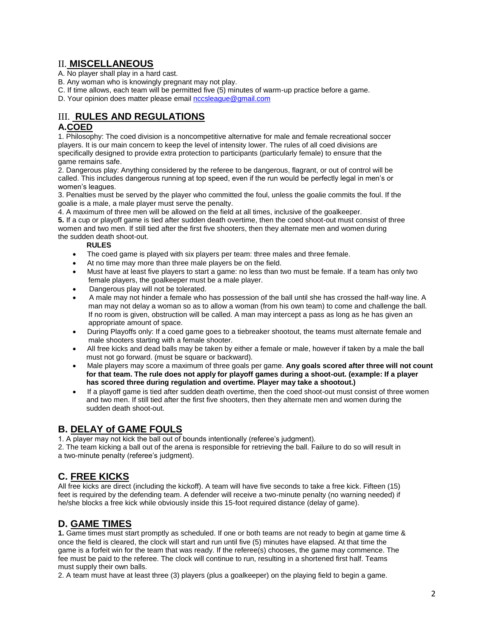### II. **MISCELLANEOUS**

- A. No player shall play in a hard cast.
- B. Any woman who is knowingly pregnant may not play.
- C. If time allows, each team will be permitted five (5) minutes of warm-up practice before a game.
- D. Your opinion does matter please emai[l nccsleague@gmail.com](mailto:nccsleague@gmail.com)

## III. **RULES AND REGULATIONS**

#### **A.COED**

1. Philosophy: The coed division is a noncompetitive alternative for male and female recreational soccer players. It is our main concern to keep the level of intensity lower. The rules of all coed divisions are specifically designed to provide extra protection to participants (particularly female) to ensure that the game remains safe.

2. Dangerous play: Anything considered by the referee to be dangerous, flagrant, or out of control will be called. This includes dangerous running at top speed, even if the run would be perfectly legal in men's or women's leagues.

3. Penalties must be served by the player who committed the foul, unless the goalie commits the foul. If the goalie is a male, a male player must serve the penalty.

4. A maximum of three men will be allowed on the field at all times, inclusive of the goalkeeper. **5.** If a cup or playoff game is tied after sudden death overtime, then the coed shoot-out must consist of three women and two men. If still tied after the first five shooters, then they alternate men and women during the sudden death shoot-out.

#### **RULES**

- The coed game is played with six players per team: three males and three female.
- At no time may more than three male players be on the field.
- Must have at least five players to start a game: no less than two must be female. If a team has only two female players, the goalkeeper must be a male player.
- Dangerous play will not be tolerated.
- A male may not hinder a female who has possession of the ball until she has crossed the half-way line. A man may not delay a woman so as to allow a woman (from his own team) to come and challenge the ball. If no room is given, obstruction will be called. A man may intercept a pass as long as he has given an appropriate amount of space.
- During Playoffs only: If a coed game goes to a tiebreaker shootout, the teams must alternate female and male shooters starting with a female shooter.
- All free kicks and dead balls may be taken by either a female or male, however if taken by a male the ball must not go forward. (must be square or backward).
- Male players may score a maximum of three goals per game. **Any goals scored after three will not count for that team. The rule does not apply for playoff games during a shoot-out. (example: If a player has scored three during regulation and overtime. Player may take a shootout.)**
- If a playoff game is tied after sudden death overtime, then the coed shoot-out must consist of three women and two men. If still tied after the first five shooters, then they alternate men and women during the sudden death shoot-out.

#### **B. DELAY of GAME FOULS**

1. A player may not kick the ball out of bounds intentionally (referee's judgment).

2. The team kicking a ball out of the arena is responsible for retrieving the ball. Failure to do so will result in a two-minute penalty (referee's judgment).

## **C. FREE KICKS**

All free kicks are direct (including the kickoff). A team will have five seconds to take a free kick. Fifteen (15) feet is required by the defending team. A defender will receive a two-minute penalty (no warning needed) if he/she blocks a free kick while obviously inside this 15-foot required distance (delay of game).

## **D. GAME TIMES**

**1.** Game times must start promptly as scheduled. If one or both teams are not ready to begin at game time & once the field is cleared, the clock will start and run until five (5) minutes have elapsed. At that time the game is a forfeit win for the team that was ready. If the referee(s) chooses, the game may commence. The fee must be paid to the referee. The clock will continue to run, resulting in a shortened first half. Teams must supply their own balls.

2. A team must have at least three (3) players (plus a goalkeeper) on the playing field to begin a game.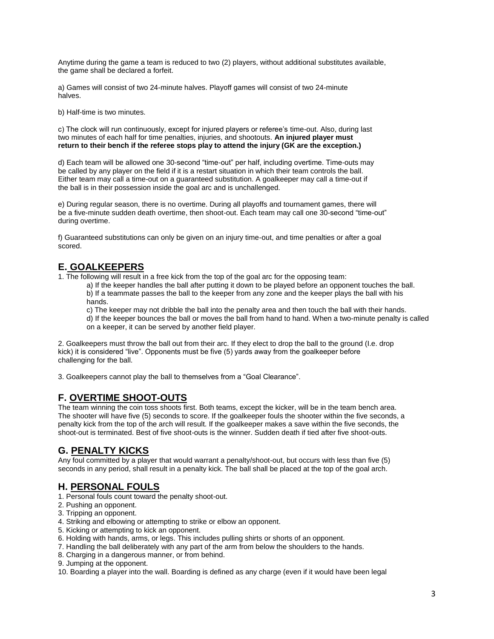Anytime during the game a team is reduced to two (2) players, without additional substitutes available, the game shall be declared a forfeit.

a) Games will consist of two 24-minute halves. Playoff games will consist of two 24-minute halves.

b) Half-time is two minutes.

c) The clock will run continuously, except for injured players or referee's time-out. Also, during last two minutes of each half for time penalties, injuries, and shootouts. **An injured player must return to their bench if the referee stops play to attend the injury (GK are the exception.)**

d) Each team will be allowed one 30-second "time-out" per half, including overtime. Time-outs may be called by any player on the field if it is a restart situation in which their team controls the ball. Either team may call a time-out on a guaranteed substitution. A goalkeeper may call a time-out if the ball is in their possession inside the goal arc and is unchallenged.

e) During regular season, there is no overtime. During all playoffs and tournament games, there will be a five-minute sudden death overtime, then shoot-out. Each team may call one 30-second "time-out" during overtime.

f) Guaranteed substitutions can only be given on an injury time-out, and time penalties or after a goal scored.

#### **E. GOALKEEPERS**

1. The following will result in a free kick from the top of the goal arc for the opposing team:

a) If the keeper handles the ball after putting it down to be played before an opponent touches the ball. b) If a teammate passes the ball to the keeper from any zone and the keeper plays the ball with his hands.

c) The keeper may not dribble the ball into the penalty area and then touch the ball with their hands. d) If the keeper bounces the ball or moves the ball from hand to hand. When a two-minute penalty is called on a keeper, it can be served by another field player.

2. Goalkeepers must throw the ball out from their arc. If they elect to drop the ball to the ground (I.e. drop kick) it is considered "live". Opponents must be five (5) yards away from the goalkeeper before challenging for the ball.

3. Goalkeepers cannot play the ball to themselves from a "Goal Clearance".

## **F. OVERTIME SHOOT-OUTS**

The team winning the coin toss shoots first. Both teams, except the kicker, will be in the team bench area. The shooter will have five (5) seconds to score. If the goalkeeper fouls the shooter within the five seconds, a penalty kick from the top of the arch will result. If the goalkeeper makes a save within the five seconds, the shoot-out is terminated. Best of five shoot-outs is the winner. Sudden death if tied after five shoot-outs.

## **G. PENALTY KICKS**

Any foul committed by a player that would warrant a penalty/shoot-out, but occurs with less than five (5) seconds in any period, shall result in a penalty kick. The ball shall be placed at the top of the goal arch.

## **H. PERSONAL FOULS**

- 1. Personal fouls count toward the penalty shoot-out.
- 2. Pushing an opponent.
- 3. Tripping an opponent.
- 4. Striking and elbowing or attempting to strike or elbow an opponent.
- 5. Kicking or attempting to kick an opponent.
- 6. Holding with hands, arms, or legs. This includes pulling shirts or shorts of an opponent.
- 7. Handling the ball deliberately with any part of the arm from below the shoulders to the hands.
- 8. Charging in a dangerous manner, or from behind.
- 9. Jumping at the opponent.

10. Boarding a player into the wall. Boarding is defined as any charge (even if it would have been legal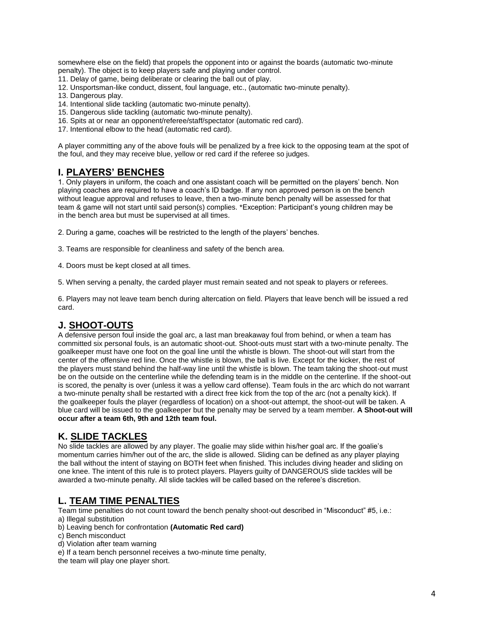somewhere else on the field) that propels the opponent into or against the boards (automatic two-minute penalty). The object is to keep players safe and playing under control.

- 11. Delay of game, being deliberate or clearing the ball out of play.
- 12. Unsportsman-like conduct, dissent, foul language, etc., (automatic two-minute penalty).
- 13. Dangerous play.
- 14. Intentional slide tackling (automatic two-minute penalty).
- 15. Dangerous slide tackling (automatic two-minute penalty).
- 16. Spits at or near an opponent/referee/staff/spectator (automatic red card).
- 17. Intentional elbow to the head (automatic red card).

A player committing any of the above fouls will be penalized by a free kick to the opposing team at the spot of the foul, and they may receive blue, yellow or red card if the referee so judges.

#### **I. PLAYERS' BENCHES**

1. Only players in uniform, the coach and one assistant coach will be permitted on the players' bench. Non playing coaches are required to have a coach's ID badge. If any non approved person is on the bench without league approval and refuses to leave, then a two-minute bench penalty will be assessed for that team & game will not start until said person(s) complies. \*Exception: Participant's young children may be in the bench area but must be supervised at all times.

2. During a game, coaches will be restricted to the length of the players' benches.

3. Teams are responsible for cleanliness and safety of the bench area.

4. Doors must be kept closed at all times.

5. When serving a penalty, the carded player must remain seated and not speak to players or referees.

6. Players may not leave team bench during altercation on field. Players that leave bench will be issued a red card.

#### **J. SHOOT-OUTS**

A defensive person foul inside the goal arc, a last man breakaway foul from behind, or when a team has committed six personal fouls, is an automatic shoot-out. Shoot-outs must start with a two-minute penalty. The goalkeeper must have one foot on the goal line until the whistle is blown. The shoot-out will start from the center of the offensive red line. Once the whistle is blown, the ball is live. Except for the kicker, the rest of the players must stand behind the half-way line until the whistle is blown. The team taking the shoot-out must be on the outside on the centerline while the defending team is in the middle on the centerline. If the shoot-out is scored, the penalty is over (unless it was a yellow card offense). Team fouls in the arc which do not warrant a two-minute penalty shall be restarted with a direct free kick from the top of the arc (not a penalty kick). If the goalkeeper fouls the player (regardless of location) on a shoot-out attempt, the shoot-out will be taken. A blue card will be issued to the goalkeeper but the penalty may be served by a team member. **A Shoot-out will occur after a team 6th, 9th and 12th team foul.**

#### **K. SLIDE TACKLES**

No slide tackles are allowed by any player. The goalie may slide within his/her goal arc. If the goalie's momentum carries him/her out of the arc, the slide is allowed. Sliding can be defined as any player playing the ball without the intent of staying on BOTH feet when finished. This includes diving header and sliding on one knee. The intent of this rule is to protect players. Players guilty of DANGEROUS slide tackles will be awarded a two-minute penalty. All slide tackles will be called based on the referee's discretion.

## **L. TEAM TIME PENALTIES**

Team time penalties do not count toward the bench penalty shoot-out described in "Misconduct" #5, i.e.:

- a) Illegal substitution
- b) Leaving bench for confrontation **(Automatic Red card)**
- c) Bench misconduct
- d) Violation after team warning
- e) If a team bench personnel receives a two-minute time penalty,

the team will play one player short.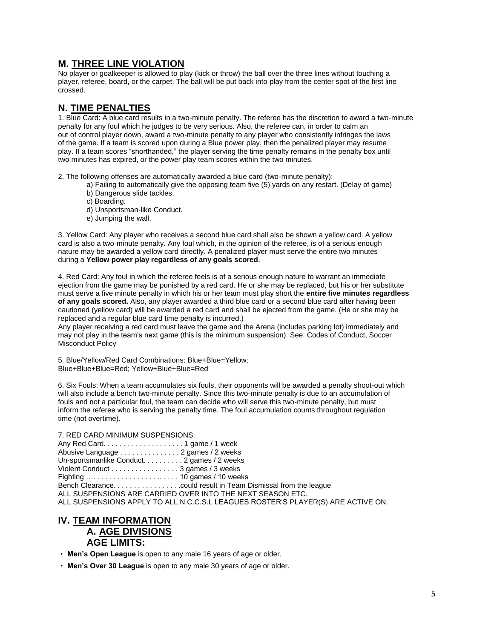## **M. THREE LINE VIOLATION**

No player or goalkeeper is allowed to play (kick or throw) the ball over the three lines without touching a player, referee, board, or the carpet. The ball will be put back into play from the center spot of the first line crossed.

## **N. TIME PENALTIES**

1. Blue Card: A blue card results in a two-minute penalty. The referee has the discretion to award a two-minute penalty for any foul which he judges to be very serious. Also, the referee can, in order to calm an out of control player down, award a two-minute penalty to any player who consistently infringes the laws of the game. If a team is scored upon during a Blue power play, then the penalized player may resume play. If a team scores "shorthanded," the player serving the time penalty remains in the penalty box until two minutes has expired, or the power play team scores within the two minutes.

2. The following offenses are automatically awarded a blue card (two-minute penalty):

- a) Failing to automatically give the opposing team five (5) yards on any restart. (Delay of game)
- b) Dangerous slide tackles.
- c) Boarding.
- d) Unsportsman-like Conduct.
- e) Jumping the wall.

3. Yellow Card: Any player who receives a second blue card shall also be shown a yellow card. A yellow card is also a two-minute penalty. Any foul which, in the opinion of the referee, is of a serious enough nature may be awarded a yellow card directly. A penalized player must serve the entire two minutes during a **Yellow power play regardless of any goals scored**.

4. Red Card: Any foul in which the referee feels is of a serious enough nature to warrant an immediate ejection from the game may be punished by a red card. He or she may be replaced, but his or her substitute must serve a five minute penalty in which his or her team must play short the **entire five minutes regardless of any goals scored.** Also, any player awarded a third blue card or a second blue card after having been cautioned (yellow card) will be awarded a red card and shall be ejected from the game. (He or she may be replaced and a regular blue card time penalty is incurred.)

Any player receiving a red card must leave the game and the Arena (includes parking lot) immediately and may not play in the team's next game (this is the minimum suspension). See: Codes of Conduct, Soccer Misconduct Policy

5. Blue/Yellow/Red Card Combinations: Blue+Blue=Yellow; Blue+Blue+Blue=Red; Yellow+Blue+Blue=Red

6. Six Fouls: When a team accumulates six fouls, their opponents will be awarded a penalty shoot-out which will also include a bench two-minute penalty. Since this two-minute penalty is due to an accumulation of fouls and not a particular foul, the team can decide who will serve this two-minute penalty, but must inform the referee who is serving the penalty time. The foul accumulation counts throughout regulation time (not overtime).

7. RED CARD MINIMUM SUSPENSIONS:

Any Red Card. . . . . . . . . . . . . . . . . . . . 1 game / 1 week Abusive Language . . . . . . . . . . . . . . . 2 games / 2 weeks Un-sportsmanlike Conduct. . . . . . . . . . 2 games / 2 weeks Violent Conduct . . . . . . . . . . . . . . . . . 3 games / 3 weeks Fighting …. . . . . . . . . . . . . . . . .. . . . . 10 games / 10 weeks Bench Clearance. . . . . . . . . . . . . . . . .could result in Team Dismissal from the league ALL SUSPENSIONS ARE CARRIED OVER INTO THE NEXT SEASON ETC. ALL SUSPENSIONS APPLY TO ALL N.C.C.S.L LEAGUES ROSTER'S PLAYER(S) ARE ACTIVE ON.

#### **IV. TEAM INFORMATION A. AGE DIVISIONS AGE LIMITS:**

**Men's Open League** is open to any male 16 years of age or older.

**Men's Over 30 League** is open to any male 30 years of age or older.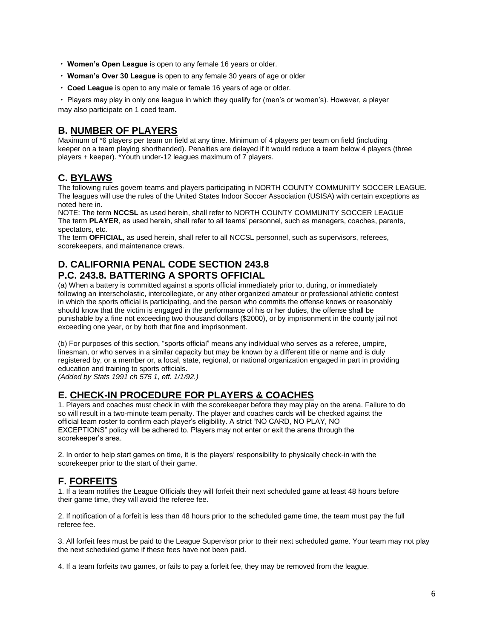- **Women's Open League** is open to any female 16 years or older.
- **Woman's Over 30 League** is open to any female 30 years of age or older
- **Coed League** is open to any male or female 16 years of age or older.

Players may play in only one league in which they qualify for (men's or women's). However, a player may also participate on 1 coed team.

## **B. NUMBER OF PLAYERS**

Maximum of \*6 players per team on field at any time. Minimum of 4 players per team on field (including keeper on a team playing shorthanded). Penalties are delayed if it would reduce a team below 4 players (three players + keeper). \*Youth under-12 leagues maximum of 7 players.

## **C. BYLAWS**

The following rules govern teams and players participating in NORTH COUNTY COMMUNITY SOCCER LEAGUE. The leagues will use the rules of the United States Indoor Soccer Association (USISA) with certain exceptions as noted here in.

NOTE: The term **NCCSL** as used herein, shall refer to NORTH COUNTY COMMUNITY SOCCER LEAGUE The term **PLAYER**, as used herein, shall refer to all teams' personnel, such as managers, coaches, parents, spectators, etc.

The term **OFFICIAL**, as used herein, shall refer to all NCCSL personnel, such as supervisors, referees, scorekeepers, and maintenance crews.

#### **D. CALIFORNIA PENAL CODE SECTION 243.8 P.C. 243.8. BATTERING A SPORTS OFFICIAL**

(a) When a battery is committed against a sports official immediately prior to, during, or immediately following an interscholastic, intercollegiate, or any other organized amateur or professional athletic contest in which the sports official is participating, and the person who commits the offense knows or reasonably should know that the victim is engaged in the performance of his or her duties, the offense shall be punishable by a fine not exceeding two thousand dollars (\$2000), or by imprisonment in the county jail not exceeding one year, or by both that fine and imprisonment.

(b) For purposes of this section, "sports official" means any individual who serves as a referee, umpire, linesman, or who serves in a similar capacity but may be known by a different title or name and is duly registered by, or a member or, a local, state, regional, or national organization engaged in part in providing education and training to sports officials.

*(Added by Stats 1991 ch 575 1, eff. 1/1/92.)*

# **E. CHECK-IN PROCEDURE FOR PLAYERS & COACHES**

1. Players and coaches must check in with the scorekeeper before they may play on the arena. Failure to do so will result in a two-minute team penalty. The player and coaches cards will be checked against the official team roster to confirm each player's eligibility. A strict "NO CARD, NO PLAY, NO EXCEPTIONS" policy will be adhered to. Players may not enter or exit the arena through the scorekeeper's area.

2. In order to help start games on time, it is the players' responsibility to physically check-in with the scorekeeper prior to the start of their game.

## **F. FORFEITS**

1. If a team notifies the League Officials they will forfeit their next scheduled game at least 48 hours before their game time, they will avoid the referee fee.

2. If notification of a forfeit is less than 48 hours prior to the scheduled game time, the team must pay the full referee fee.

3. All forfeit fees must be paid to the League Supervisor prior to their next scheduled game. Your team may not play the next scheduled game if these fees have not been paid.

4. If a team forfeits two games, or fails to pay a forfeit fee, they may be removed from the league.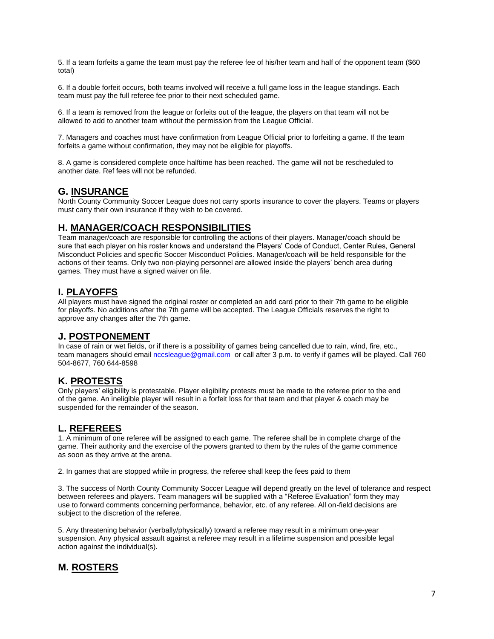5. If a team forfeits a game the team must pay the referee fee of his/her team and half of the opponent team (\$60 total)

6. If a double forfeit occurs, both teams involved will receive a full game loss in the league standings. Each team must pay the full referee fee prior to their next scheduled game.

6. If a team is removed from the league or forfeits out of the league, the players on that team will not be allowed to add to another team without the permission from the League Official.

7. Managers and coaches must have confirmation from League Official prior to forfeiting a game. If the team forfeits a game without confirmation, they may not be eligible for playoffs.

8. A game is considered complete once halftime has been reached. The game will not be rescheduled to another date. Ref fees will not be refunded.

#### **G. INSURANCE**

North County Community Soccer League does not carry sports insurance to cover the players. Teams or players must carry their own insurance if they wish to be covered.

#### **H. MANAGER/COACH RESPONSIBILITIES**

Team manager/coach are responsible for controlling the actions of their players. Manager/coach should be sure that each player on his roster knows and understand the Players' Code of Conduct, Center Rules, General Misconduct Policies and specific Soccer Misconduct Policies. Manager/coach will be held responsible for the actions of their teams. Only two non-playing personnel are allowed inside the players' bench area during games. They must have a signed waiver on file.

## **I. PLAYOFFS**

All players must have signed the original roster or completed an add card prior to their 7th game to be eligible for playoffs. No additions after the 7th game will be accepted. The League Officials reserves the right to approve any changes after the 7th game.

#### **J. POSTPONEMENT**

In case of rain or wet fields, or if there is a possibility of games being cancelled due to rain, wind, fire, etc., team managers should email [nccsleague@gmail.com](mailto:nccsleague@gmail.com) or call after 3 p.m. to verify if games will be played. Call 760 504-8677, 760 644-8598

## **K. PROTESTS**

Only players' eligibility is protestable. Player eligibility protests must be made to the referee prior to the end of the game. An ineligible player will result in a forfeit loss for that team and that player & coach may be suspended for the remainder of the season.

## **L. REFEREES**

1. A minimum of one referee will be assigned to each game. The referee shall be in complete charge of the game. Their authority and the exercise of the powers granted to them by the rules of the game commence as soon as they arrive at the arena.

2. In games that are stopped while in progress, the referee shall keep the fees paid to them

3. The success of North County Community Soccer League will depend greatly on the level of tolerance and respect between referees and players. Team managers will be supplied with a "Referee Evaluation" form they may use to forward comments concerning performance, behavior, etc. of any referee. All on-field decisions are subject to the discretion of the referee.

5. Any threatening behavior (verbally/physically) toward a referee may result in a minimum one-year suspension. Any physical assault against a referee may result in a lifetime suspension and possible legal action against the individual(s).

## **M. ROSTERS**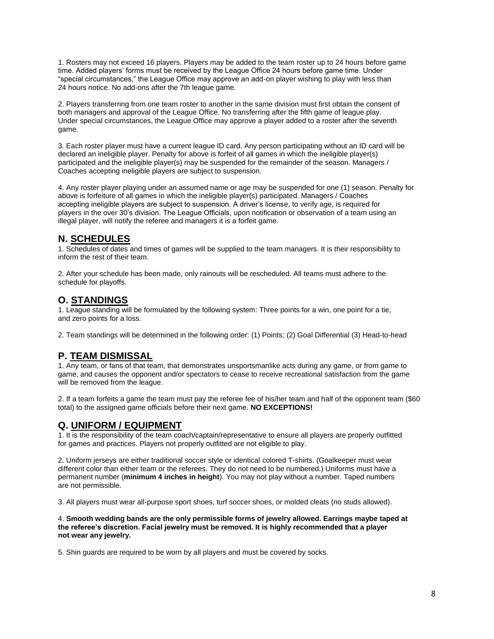1. Rosters may not exceed 16 players. Players may be added to the team roster up to 24 hours before game time. Added players' forms must be received by the League Office 24 hours before game time. Under "special circumstances," the League Office may approve an add-on player wishing to play with less than 24 hours notice. No add-ons after the 7th league game.

2. Players transferring from one team roster to another in the same division must first obtain the consent of both managers and approval of the League Office. No transferring after the fifth game of league play. Under special circumstances, the League Office may approve a player added to a roster after the seventh game.

3. Each roster player must have a current league ID card. Any person participating without an ID card will be declared an ineligible player. Penalty for above is forfeit of all games in which the ineligible player(s) participated and the ineligible player(s) may be suspended for the remainder of the season. Managers / Coaches accepting ineligible players are subject to suspension.

4. Any roster player playing under an assumed name or age may be suspended for one (1) season. Penalty for above is forfeiture of all games in which the ineligible player(s) participated. Managers / Coaches accepting ineligible players are subject to suspension. A driver's license, to verify age, is required for players in the over 30's division. The League Officials, upon notification or observation of a team using an illegal player, will notify the referee and managers it is a forfeit game.

## **N. SCHEDULES**

1. Schedules of dates and times of games will be supplied to the team managers. It is their responsibility to inform the rest of their team.

2. After your schedule has been made, only rainouts will be rescheduled. All teams must adhere to the schedule for playoffs.

## **O. STANDINGS**

1. League standing will be formulated by the following system: Three points for a win, one point for a tie, and zero points for a loss.

2. Team standings will be determined in the following order: (1) Points; (2) Goal Differential (3) Head-to-head

## **P. TEAM DISMISSAL**

1. Any team, or fans of that team, that demonstrates unsportsmanlike acts during any game, or from game to game, and causes the opponent and/or spectators to cease to receive recreational satisfaction from the game will be removed from the league.

2. If a team forfeits a game the team must pay the referee fee of his/her team and half of the opponent team (\$60 total) to the assigned game officials before their next game. **NO EXCEPTIONS!**

## **Q. UNIFORM / EQUIPMENT**

1. It is the responsibility of the team coach/captain/representative to ensure all players are properly outfitted for games and practices. Players not properly outfitted are not eligible to play.

2. Uniform jerseys are either traditional soccer style or identical colored T-shirts. (Goalkeeper must wear different color than either team or the referees. They do not need to be numbered.) Uniforms must have a permanent number (**minimum 4 inches in height**). You may not play without a number. Taped numbers are not permissible.

3. All players must wear all-purpose sport shoes, turf soccer shoes, or molded cleats (no studs allowed).

4. **Smooth wedding bands are the only permissible forms of jewelry allowed. Earrings maybe taped at the referee's discretion. Facial jewelry must be removed. It is highly recommended that a player not wear any jewelry.**

5. Shin guards are required to be worn by all players and must be covered by socks.